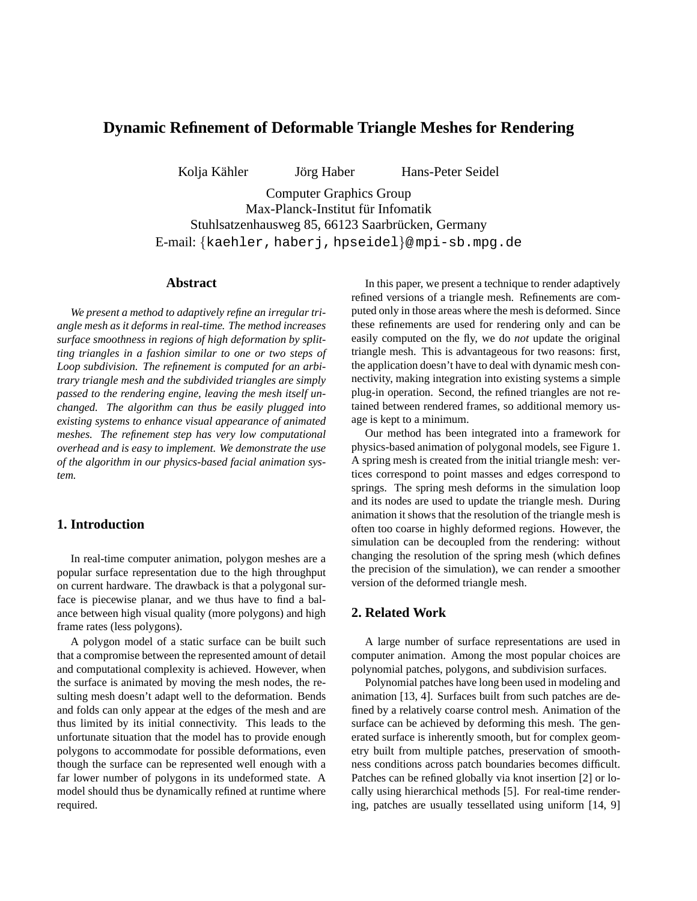# **Dynamic Refinement of Deformable Triangle Meshes for Rendering**

Kolja Kähler Jörg Haber Hans-Peter Seidel

Computer Graphics Group Max-Planck-Institut für Infomatik Stuhlsatzenhausweg 85, 66123 Saarbrücken, Germany E-mail: {kaehler, haberj, hpseidel}@ mpi-sb.mpg.de

# **Abstract**

*We present a method to adaptively refine an irregular triangle mesh as it deforms in real-time. The method increases surface smoothness in regions of high deformation by splitting triangles in a fashion similar to one or two steps of Loop subdivision. The refinement is computed for an arbitrary triangle mesh and the subdivided triangles are simply passed to the rendering engine, leaving the mesh itself unchanged. The algorithm can thus be easily plugged into existing systems to enhance visual appearance of animated meshes. The refinement step has very low computational overhead and is easy to implement. We demonstrate the use of the algorithm in our physics-based facial animation system.*

# **1. Introduction**

In real-time computer animation, polygon meshes are a popular surface representation due to the high throughput on current hardware. The drawback is that a polygonal surface is piecewise planar, and we thus have to find a balance between high visual quality (more polygons) and high frame rates (less polygons).

A polygon model of a static surface can be built such that a compromise between the represented amount of detail and computational complexity is achieved. However, when the surface is animated by moving the mesh nodes, the resulting mesh doesn't adapt well to the deformation. Bends and folds can only appear at the edges of the mesh and are thus limited by its initial connectivity. This leads to the unfortunate situation that the model has to provide enough polygons to accommodate for possible deformations, even though the surface can be represented well enough with a far lower number of polygons in its undeformed state. A model should thus be dynamically refined at runtime where required.

In this paper, we present a technique to render adaptively refined versions of a triangle mesh. Refinements are computed only in those areas where the mesh is deformed. Since these refinements are used for rendering only and can be easily computed on the fly, we do *not* update the original triangle mesh. This is advantageous for two reasons: first, the application doesn't have to deal with dynamic mesh connectivity, making integration into existing systems a simple plug-in operation. Second, the refined triangles are not retained between rendered frames, so additional memory usage is kept to a minimum.

Our method has been integrated into a framework for physics-based animation of polygonal models, see Figure 1. A spring mesh is created from the initial triangle mesh: vertices correspond to point masses and edges correspond to springs. The spring mesh deforms in the simulation loop and its nodes are used to update the triangle mesh. During animation it shows that the resolution of the triangle mesh is often too coarse in highly deformed regions. However, the simulation can be decoupled from the rendering: without changing the resolution of the spring mesh (which defines the precision of the simulation), we can render a smoother version of the deformed triangle mesh.

# **2. Related Work**

A large number of surface representations are used in computer animation. Among the most popular choices are polynomial patches, polygons, and subdivision surfaces.

Polynomial patches have long been used in modeling and animation [13, 4]. Surfaces built from such patches are defined by a relatively coarse control mesh. Animation of the surface can be achieved by deforming this mesh. The generated surface is inherently smooth, but for complex geometry built from multiple patches, preservation of smoothness conditions across patch boundaries becomes difficult. Patches can be refined globally via knot insertion [2] or locally using hierarchical methods [5]. For real-time rendering, patches are usually tessellated using uniform [14, 9]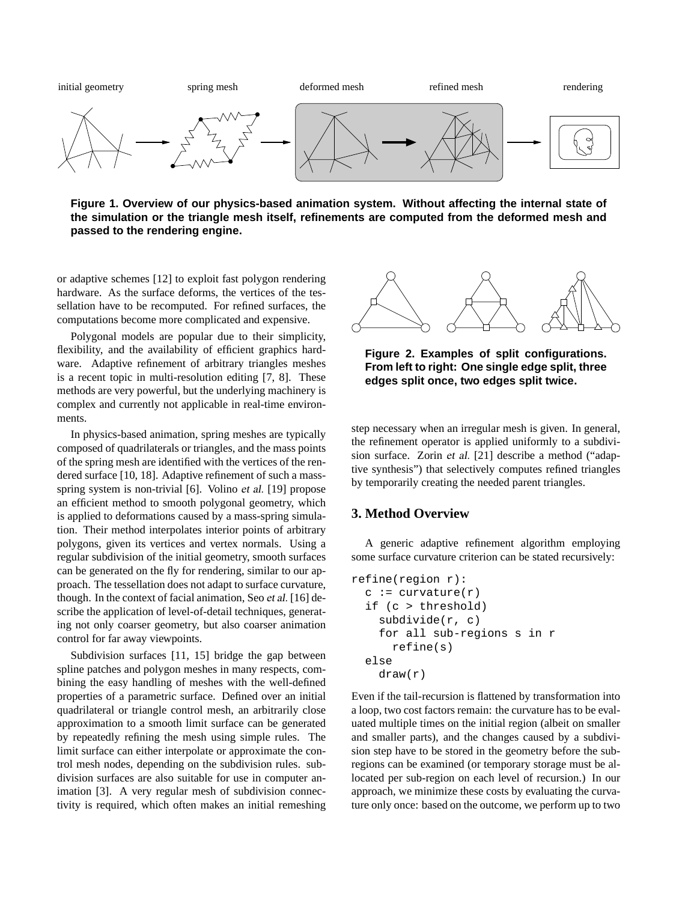

**Figure 1. Overview of our physics-based animation system. Without affecting the internal state of the simulation or the triangle mesh itself, refinements are computed from the deformed mesh and passed to the rendering engine.**

or adaptive schemes [12] to exploit fast polygon rendering hardware. As the surface deforms, the vertices of the tessellation have to be recomputed. For refined surfaces, the computations become more complicated and expensive.

Polygonal models are popular due to their simplicity, flexibility, and the availability of efficient graphics hardware. Adaptive refinement of arbitrary triangles meshes is a recent topic in multi-resolution editing [7, 8]. These methods are very powerful, but the underlying machinery is complex and currently not applicable in real-time environments.

In physics-based animation, spring meshes are typically composed of quadrilaterals or triangles, and the mass points of the spring mesh are identified with the vertices of the rendered surface [10, 18]. Adaptive refinement of such a massspring system is non-trivial [6]. Volino et al. [19] propose an efficient method to smooth polygonal geometry, which is applied to deformations caused by a mass-spring simulation. Their method interpolates interior points of arbitrary polygons, given its vertices and vertex normals. Using a regular subdivision of the initial geometry, smooth surfaces can be generated on the fly for rendering, similar to our approach. The tessellation does not adapt to surface curvature, though. In the context of facial animation, Seo et al. [16] describe the application of level-of-detail techniques, generating not only coarser geometry, but also coarser animation control for far away viewpoints.

Subdivision surfaces [11, 15] bridge the gap between spline patches and polygon meshes in many respects, combining the easy handling of meshes with the well-defined properties of a parametric surface. Defined over an initial quadrilateral or triangle control mesh, an arbitrarily close approximation to a smooth limit surface can be generated by repeatedly refining the mesh using simple rules. The limit surface can either interpolate or approximate the control mesh nodes, depending on the subdivision rules. subdivision surfaces are also suitable for use in computer animation [3]. A very regular mesh of subdivision connectivity is required, which often makes an initial remeshing



**Figure 2. Examples of split configurations. From left to right: One single edge split, three edges split once, two edges split twice.**

step necessary when an irregular mesh is given. In general, the refinement operator is applied uniformly to a subdivision surface. Zorin et al. [21] describe a method ("adaptive synthesis") that selectively computes refined triangles by temporarily creating the needed parent triangles.

# **3. Method Overview**

A generic adaptive refinement algorithm employing some surface curvature criterion can be stated recursively:

```
refine(region r):
c := curvature(r)if (c > threshold)
  subdivide(r, c)
  for all sub-regions s in r
    refine(s)
else
  draw(r)
```
Even if the tail-recursion is flattened by transformation into a loop, two cost factors remain: the curvature has to be evaluated multiple times on the initial region (albeit on smaller and smaller parts), and the changes caused by a subdivision step have to be stored in the geometry before the subregions can be examined (or temporary storage must be allocated per sub-region on each level of recursion.) In our approach, we minimize these costs by evaluating the curvature only once: based on the outcome, we perform up to two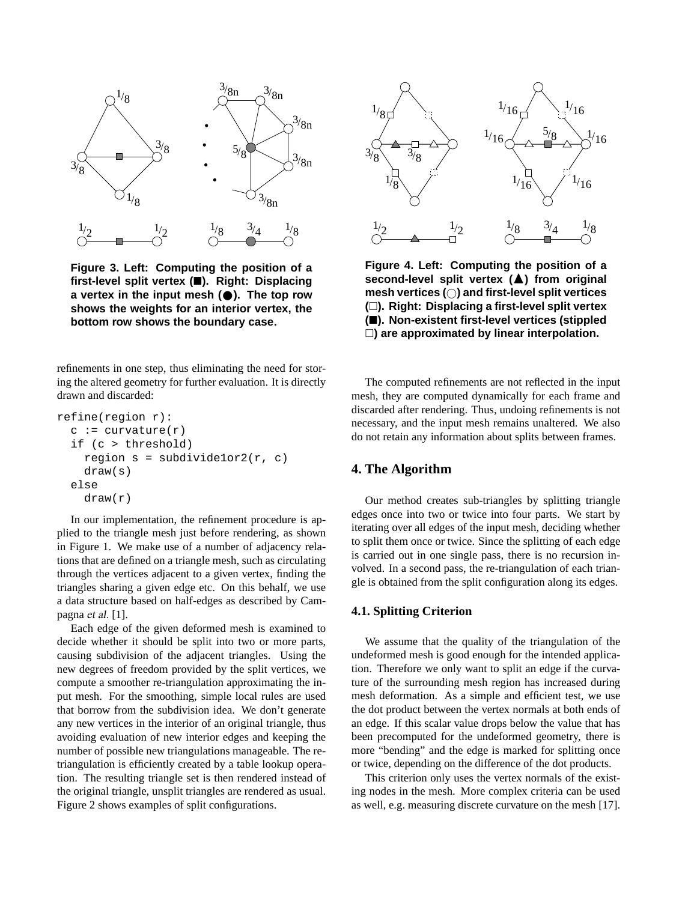

**Figure 3. Left: Computing the position of a first-level split vertex (). Right: Displacing a vertex in the input mesh (**•**). The top row shows the weights for an interior vertex, the bottom row shows the boundary case.**

refinements in one step, thus eliminating the need for storing the altered geometry for further evaluation. It is directly drawn and discarded:

```
refine(region r):
c := curvature(r)if (c > threshold)
  region s = subdivide1 or2(r, c)draw(s)
else
  draw(r)
```
In our implementation, the refinement procedure is applied to the triangle mesh just before rendering, as shown in Figure 1. We make use of a number of adjacency relations that are defined on a triangle mesh, such as circulating through the vertices adjacent to a given vertex, finding the triangles sharing a given edge etc. On this behalf, we use a data structure based on half-edges as described by Campagna et al. [1].

Each edge of the given deformed mesh is examined to decide whether it should be split into two or more parts, causing subdivision of the adjacent triangles. Using the new degrees of freedom provided by the split vertices, we compute a smoother re-triangulation approximating the input mesh. For the smoothing, simple local rules are used that borrow from the subdivision idea. We don't generate any new vertices in the interior of an original triangle, thus avoiding evaluation of new interior edges and keeping the number of possible new triangulations manageable. The retriangulation is efficiently created by a table lookup operation. The resulting triangle set is then rendered instead of the original triangle, unsplit triangles are rendered as usual. Figure 3. Left: Computing the position of a<br>Figure 3. Left: Computing the position of a<br>First-level split vertex (m). Right: Displacing section<br>shows the weights for an interior vertex, the<br>bottom row shows the bundet mea



**Figure 4. Left: Computing the position of a second-level split vertex (**N**) from original mesh vertices ( ) and first-level split vertices (). Right: Displacing a first-level split vertex (). Non-existent first-level vertices (stippled ) are approximated by linear interpolation.**

The computed refinements are not reflected in the input mesh, they are computed dynamically for each frame and discarded after rendering. Thus, undoing refinements is not necessary, and the input mesh remains unaltered. We also do not retain any information about splits between frames.

# **4. The Algorithm**

Our method creates sub-triangles by splitting triangle edges once into two or twice into four parts. We start by iterating over all edges of the input mesh, deciding whether to split them once or twice. Since the splitting of each edge is carried out in one single pass, there is no recursion involved. In a second pass, the re-triangulation of each triangle is obtained from the split configuration along its edges.

#### **4.1. Splitting Criterion**

We assume that the quality of the triangulation of the undeformed mesh is good enough for the intended application. Therefore we only want to split an edge if the curvature of the surrounding mesh region has increased during mesh deformation. As a simple and efficient test, we use the dot product between the vertex normals at both ends of an edge. If this scalar value drops below the value that has been precomputed for the undeformed geometry, there is more "bending" and the edge is marked for splitting once or twice, depending on the difference of the dot products.

This criterion only uses the vertex normals of the existing nodes in the mesh. More complex criteria can be used as well, e.g. measuring discrete curvature on the mesh [17].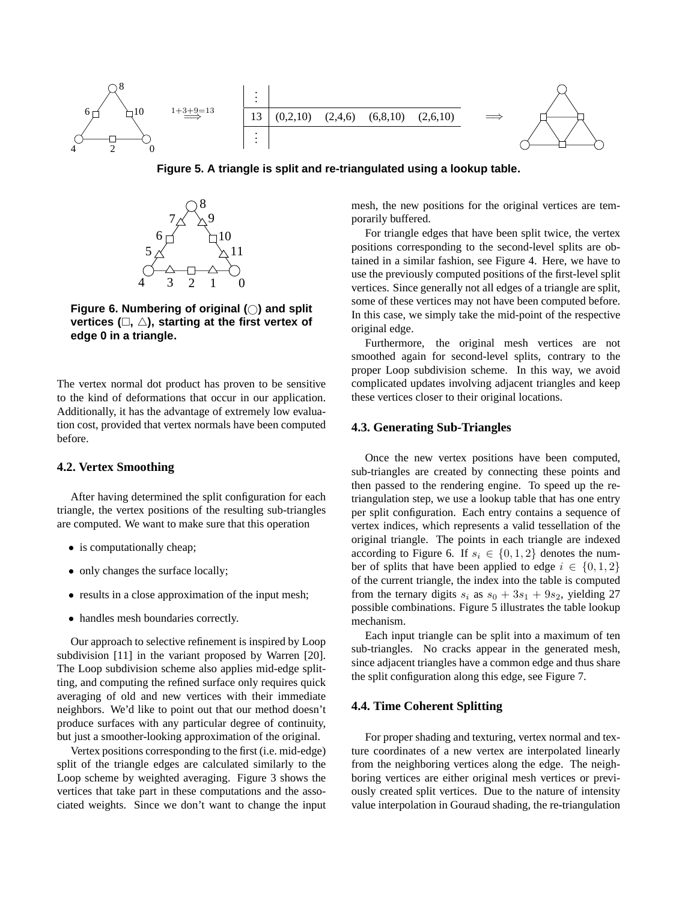

**Figure 5. A triangle is split and re-triangulated using a lookup table.**



**Figure 6. Numbering of original ( ) and split** vertices  $(\square, \triangle)$ , starting at the first vertex of **edge 0 in a triangle.**

The vertex normal dot product has proven to be sensitive to the kind of deformations that occur in our application. Additionally, it has the advantage of extremely low evaluation cost, provided that vertex normals have been computed before.

#### **4.2. Vertex Smoothing**

After having determined the split configuration for each triangle, the vertex positions of the resulting sub-triangles are computed. We want to make sure that this operation

- is computationally cheap;
- only changes the surface locally;
- results in a close approximation of the input mesh;
- handles mesh boundaries correctly.

Our approach to selective refinement is inspired by Loop subdivision [11] in the variant proposed by Warren [20]. The Loop subdivision scheme also applies mid-edge splitting, and computing the refined surface only requires quick averaging of old and new vertices with their immediate neighbors. We'd like to point out that our method doesn't produce surfaces with any particular degree of continuity, but just a smoother-looking approximation of the original.

Vertex positions corresponding to the first (i.e. mid-edge) split of the triangle edges are calculated similarly to the Loop scheme by weighted averaging. Figure 3 shows the vertices that take part in these computations and the associated weights. Since we don't want to change the input mesh, the new positions for the original vertices are temporarily buffered.

For triangle edges that have been split twice, the vertex positions corresponding to the second-level splits are obtained in a similar fashion, see Figure 4. Here, we have to use the previously computed positions of the first-level split vertices. Since generally not all edges of a triangle are split, some of these vertices may not have been computed before. In this case, we simply take the mid-point of the respective original edge.

Furthermore, the original mesh vertices are not smoothed again for second-level splits, contrary to the proper Loop subdivision scheme. In this way, we avoid complicated updates involving adjacent triangles and keep these vertices closer to their original locations.

#### **4.3. Generating Sub-Triangles**

Once the new vertex positions have been computed, sub-triangles are created by connecting these points and then passed to the rendering engine. To speed up the retriangulation step, we use a lookup table that has one entry per split configuration. Each entry contains a sequence of vertex indices, which represents a valid tessellation of the original triangle. The points in each triangle are indexed according to Figure 6. If  $s_i \in \{0, 1, 2\}$  denotes the number of splits that have been applied to edge  $i \in \{0, 1, 2\}$ of the current triangle, the index into the table is computed from the ternary digits  $s_i$  as  $s_0 + 3s_1 + 9s_2$ , yielding 27 possible combinations. Figure 5 illustrates the table lookup mechanism.

Each input triangle can be split into a maximum of ten sub-triangles. No cracks appear in the generated mesh, since adjacent triangles have a common edge and thus share the split configuration along this edge, see Figure 7.

### **4.4. Time Coherent Splitting**

For proper shading and texturing, vertex normal and texture coordinates of a new vertex are interpolated linearly from the neighboring vertices along the edge. The neighboring vertices are either original mesh vertices or previously created split vertices. Due to the nature of intensity value interpolation in Gouraud shading, the re-triangulation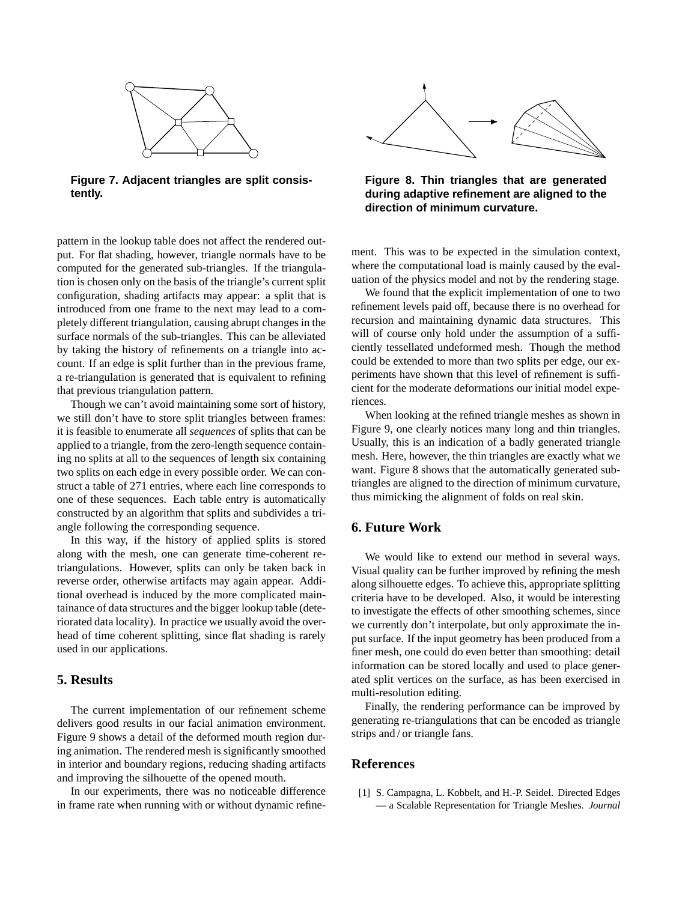

**Figure 7. Adjacent triangles are split consistently.**

pattern in the lookup table does not affect the rendered output. For flat shading, however, triangle normals have to be computed for the generated sub-triangles. If the triangulation is chosen only on the basis of the triangle's current split configuration, shading artifacts may appear: a split that is introduced from one frame to the next may lead to a completely different triangulation, causing abrupt changes in the surface normals of the sub-triangles. This can be alleviated by taking the history of refinements on a triangle into account. If an edge is split further than in the previous frame, a re-triangulation is generated that is equivalent to refining that previous triangulation pattern.

Though we can't avoid maintaining some sort of history, we still don't have to store split triangles between frames: it is feasible to enumerate all *sequences* of splits that can be applied to a triangle, from the zero-length sequence containing no splits at all to the sequences of length six containing two splits on each edge in every possible order. We can construct a table of 271 entries, where each line corresponds to one of these sequences. Each table entry is automatically constructed by an algorithm that splits and subdivides a triangle following the corresponding sequence.

In this way, if the history of applied splits is stored along with the mesh, one can generate time-coherent retriangulations. However, splits can only be taken back in reverse order, otherwise artifacts may again appear. Additional overhead is induced by the more complicated maintainance of data structures and the bigger lookup table (deteriorated data locality). In practice we usually avoid the overhead of time coherent splitting, since flat shading is rarely used in our applications.

# **5. Results**

The current implementation of our refinement scheme delivers good results in our facial animation environment. Figure 9 shows a detail of the deformed mouth region during animation. The rendered mesh is significantly smoothed in interior and boundary regions, reducing shading artifacts and improving the silhouette of the opened mouth.

In our experiments, there was no noticeable difference in frame rate when running with or without dynamic refine-



**Figure 8. Thin triangles that are generated during adaptive refinement are aligned to the direction of minimum curvature.**

ment. This was to be expected in the simulation context, where the computational load is mainly caused by the evaluation of the physics model and not by the rendering stage.

We found that the explicit implementation of one to two refinement levels paid off, because there is no overhead for recursion and maintaining dynamic data structures. This will of course only hold under the assumption of a sufficiently tessellated undeformed mesh. Though the method could be extended to more than two splits per edge, our experiments have shown that this level of refinement is sufficient for the moderate deformations our initial model experiences.

When looking at the refined triangle meshes as shown in Figure 9, one clearly notices many long and thin triangles. Usually, this is an indication of a badly generated triangle mesh. Here, however, the thin triangles are exactly what we want. Figure 8 shows that the automatically generated subtriangles are aligned to the direction of minimum curvature, thus mimicking the alignment of folds on real skin.

# **6. Future Work**

We would like to extend our method in several ways. Visual quality can be further improved by refining the mesh along silhouette edges. To achieve this, appropriate splitting criteria have to be developed. Also, it would be interesting to investigate the effects of other smoothing schemes, since we currently don't interpolate, but only approximate the input surface. If the input geometry has been produced from a finer mesh, one could do even better than smoothing: detail information can be stored locally and used to place generated split vertices on the surface, as has been exercised in multi-resolution editing.

Finally, the rendering performance can be improved by generating re-triangulations that can be encoded as triangle strips and / or triangle fans.

#### **References**

[1] S. Campagna, L. Kobbelt, and H.-P. Seidel. Directed Edges — a Scalable Representation for Triangle Meshes. *Journal*